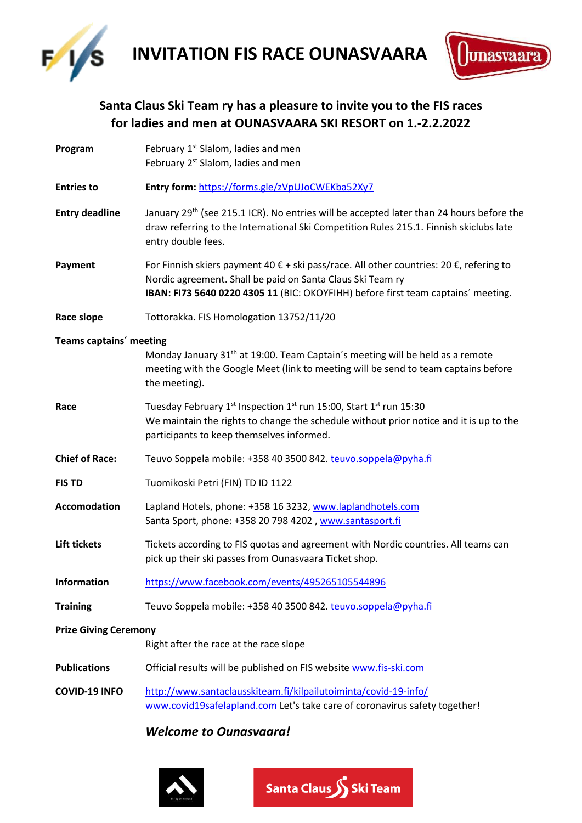

**INVITATION FIS RACE OUNASVAARA** 



# **Santa Claus Ski Team ry has a pleasure to invite you to the FIS races for ladies and men at OUNASVAARA SKI RESORT on 1.-2.2.2022**

**Program** February 1<sup>st</sup> Slalom, ladies and men February 2<sup>st</sup> Slalom, ladies and men **Entries to Entry form:** <https://forms.gle/zVpUJoCWEKba52Xy7> **Entry deadline** <sup>th</sup> (see 215.1 ICR). No entries will be accepted later than 24 hours before the draw referring to the International Ski Competition Rules 215.1. Finnish skiclubs late entry double fees. **Payment** For Finnish skiers payment 40 € + ski pass/race. All other countries: 20 €, refering to Nordic agreement. Shall be paid on Santa Claus Ski Team ry **IBAN: FI73 5640 0220 4305 11** (BIC: OKOYFIHH) before first team captains´ meeting. **Race slope** Tottorakka. FIS Homologation 13752/11/20 **Teams captains´ meeting** Monday January 31<sup>th</sup> at 19:00. Team Captain's meeting will be held as a remote meeting with the Google Meet (link to meeting will be send to team captains before the meeting). Race Tuesday February 1<sup>st</sup> Inspection 1<sup>st</sup> run 15:00, Start 1<sup>st</sup> run 15:30 We maintain the rights to change the schedule without prior notice and it is up to the participants to keep themselves informed. **Chief of Race:** Teuvo Soppela mobile: +358 40 3500 842. [teuvo.soppela@pyha.fi](mailto:teuvo.soppela@pyha.fi) **FIS TD** Tuomikoski Petri (FIN) TD ID 1122 **Accomodation** Lapland Hotels, phone: +358 16 3232, [www.laplandhotels.com](http://www.laplandhotels.com/) Santa Sport, phone: +358 20 798 4202, www.santasport.fi Lift tickets **Tickets according to FIS quotas and agreement with Nordic countries. All teams can** pick up their ski passes from Ounasvaara Ticket shop. **Information** <https://www.facebook.com/events/495265105544896> **Training** Teuvo Soppela mobile: +358 40 3500 842. [teuvo.soppela@pyha.fi](mailto:teuvo.soppela@pyha.fi) **Prize Giving Ceremony** Right after the race at the race slope **Publications** Official results will be published on FIS website [www.fis-ski.com](http://www.fis-ski.com/) **COVID-19 INFO** <http://www.santaclausskiteam.fi/kilpailutoiminta/covid-19-info/> [www.covid19safelapland.com](http://www.covid19safelapland.com/) Let's take care of coronavirus safety together!

# *Welcome to Ounasvaara!*



Santa Claus S Ski Team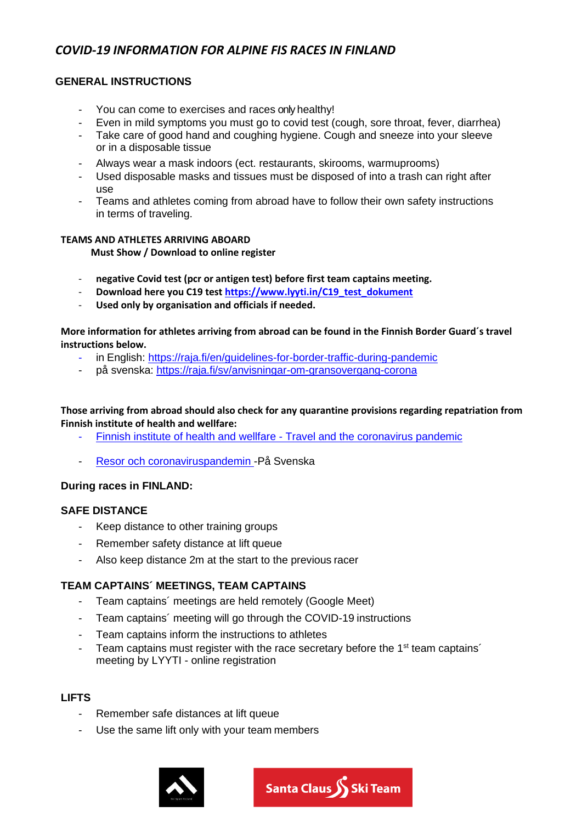# *COVID-19 INFORMATION FOR ALPINE FIS RACES IN FINLAND*

## **GENERAL INSTRUCTIONS**

- You can come to exercises and races only healthy!
- Even in mild symptoms you must go to covid test (cough, sore throat, fever, diarrhea)
- Take care of good hand and coughing hygiene. Cough and sneeze into your sleeve or in a disposable tissue
- Always wear a mask indoors (ect. restaurants, skirooms, warmuprooms)
- Used disposable masks and tissues must be disposed of into a trash can right after use
- Teams and athletes coming from abroad have to follow their own safety instructions in terms of traveling.

#### **TEAMS AND ATHLETES ARRIVING ABOARD**

**Must Show / Download to online register**

- **negative Covid test (pcr or antigen test) before first team captains meeting.**
- **Download here you C19 test [https://www.lyyti.in/C19\\_test\\_dokument](https://www.lyyti.in/C19_test_dokument)**
- **Used only by organisation and officials if needed.**

**More information for athletes arriving from abroad can be found in the Finnish Border Guard´s travel instructions below.**

- in English: [https://raja.fi/en/guidelines-for-border-traffic-during-pandemic](https://www.raja.fi/current_issues/guidelines_for_border_traffic)
- på svenska:<https://raja.fi/sv/anvisningar-om-gransovergang-corona>

### **Those arriving from abroad should also check for any quarantine provisions regarding repatriation from Finnish institute of health and wellfare:**

- [Finnish institute of health and wellfare -](https://thl.fi/en/web/infectious-diseases-and-vaccinations/what-s-new/coronavirus-covid-19-latest-updates/travel-and-the-coronavirus-pandemic) [Travel and the coronavirus pandemic](https://thl.fi/en/web/infectious-diseases-and-vaccinations/what-s-new/coronavirus-covid-19-latest-updates/travel-and-the-coronavirus-pandemic)
- [Resor och coronaviruspandemin -](https://thl.fi/sv/web/infektionssjukdomar-och-vaccinationer/aktuellt/aktuellt-om-coronaviruset-covid-19/resor-och-coronaviruspandemin)På Svenska

### **During races in FINLAND:**

### **SAFE DISTANCE**

- Keep distance to other training groups
- Remember safety distance at lift queue
- Also keep distance 2m at the start to the previous racer

### **TEAM CAPTAINS´ MEETINGS, TEAM CAPTAINS**

- Team captains´ meetings are held remotely (Google Meet)
- Team captains´ meeting will go through the COVID-19 instructions
- Team captains inform the instructions to athletes
- Team captains must register with the race secretary before the 1<sup>st</sup> team captains<sup>1</sup> meeting by LYYTI - online registration

### **LIFTS**

- Remember safe distances at lift queue
- Use the same lift only with your team members



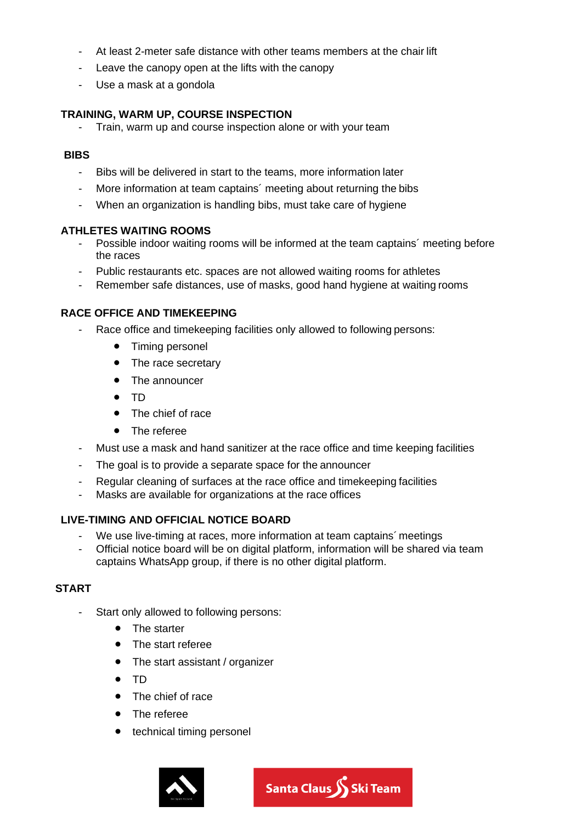- At least 2-meter safe distance with other teams members at the chair lift
- Leave the canopy open at the lifts with the canopy
- Use a mask at a gondola

## **TRAINING, WARM UP, COURSE INSPECTION**

Train, warm up and course inspection alone or with your team

#### **BIBS**

- Bibs will be delivered in start to the teams, more information later
- More information at team captains' meeting about returning the bibs
- When an organization is handling bibs, must take care of hygiene

## **ATHLETES WAITING ROOMS**

- Possible indoor waiting rooms will be informed at the team captains´ meeting before the races
- Public restaurants etc. spaces are not allowed waiting rooms for athletes
- Remember safe distances, use of masks, good hand hygiene at waiting rooms

## **RACE OFFICE AND TIMEKEEPING**

- Race office and timekeeping facilities only allowed to following persons:
	- Timing personel
	- The race secretary
	- The announcer
	- TD
	- The chief of race
	- The referee
- Must use a mask and hand sanitizer at the race office and time keeping facilities
- The goal is to provide a separate space for the announcer
- Regular cleaning of surfaces at the race office and timekeeping facilities
- Masks are available for organizations at the race offices

# **LIVE-TIMING AND OFFICIAL NOTICE BOARD**

- We use live-timing at races, more information at team captains´ meetings
- Official notice board will be on digital platform, information will be shared via team captains WhatsApp group, if there is no other digital platform.

# **START**

- Start only allowed to following persons:
	- The starter
	- The start referee
	- The start assistant / organizer
	- TD
	- The chief of race
	- The referee
	- technical timing personel

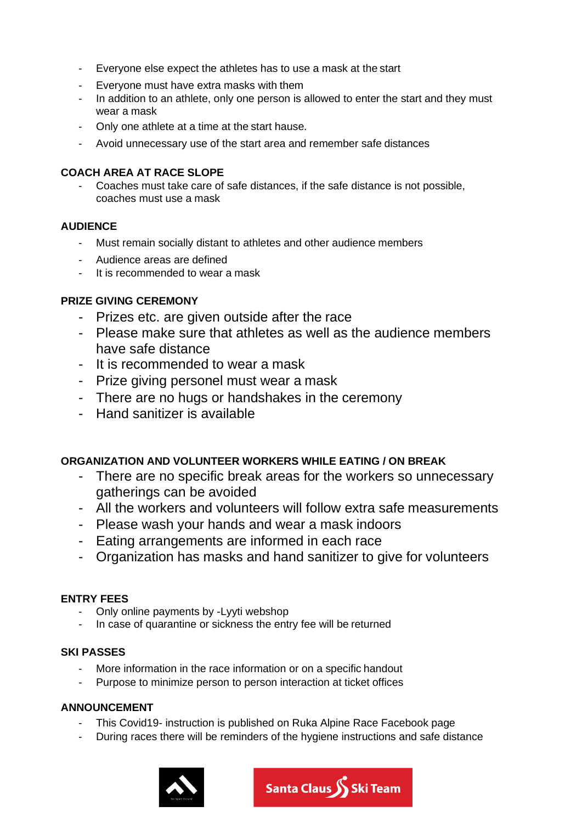- Everyone else expect the athletes has to use a mask at the start
- Everyone must have extra masks with them
- In addition to an athlete, only one person is allowed to enter the start and they must wear a mask
- Only one athlete at a time at the start hause.
- Avoid unnecessary use of the start area and remember safe distances

## **COACH AREA AT RACE SLOPE**

- Coaches must take care of safe distances, if the safe distance is not possible, coaches must use a mask

## **AUDIENCE**

- Must remain socially distant to athletes and other audience members
- Audience areas are defined
- It is recommended to wear a mask

# **PRIZE GIVING CEREMONY**

- Prizes etc. are given outside after the race
- Please make sure that athletes as well as the audience members have safe distance
- It is recommended to wear a mask
- Prize giving personel must wear a mask
- There are no hugs or handshakes in the ceremony
- Hand sanitizer is available

# **ORGANIZATION AND VOLUNTEER WORKERS WHILE EATING / ON BREAK**

- There are no specific break areas for the workers so unnecessary gatherings can be avoided
- All the workers and volunteers will follow extra safe measurements
- Please wash your hands and wear a mask indoors
- Eating arrangements are informed in each race
- Organization has masks and hand sanitizer to give for volunteers

# **ENTRY FEES**

- Only online payments by -Lyyti webshop
- In case of quarantine or sickness the entry fee will be returned

### **SKI PASSES**

- More information in the race information or on a specific handout
- Purpose to minimize person to person interaction at ticket offices

### **ANNOUNCEMENT**

- This Covid19- instruction is published on Ruka Alpine Race Facebook page
- During races there will be reminders of the hygiene instructions and safe distance